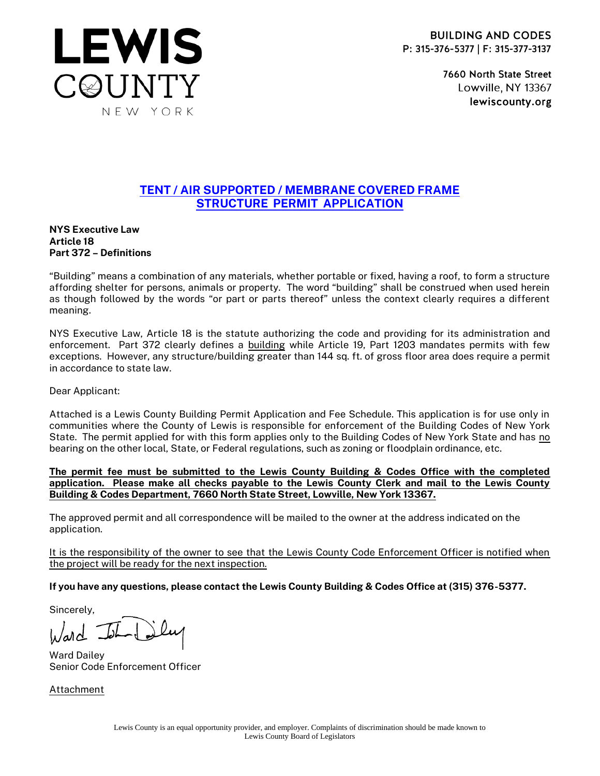

7660 North State Street Lowville, NY 13367 lewiscounty.org

## TENT / AIR SUPPORTED / MEMBRANE COVERED FRAME STRUCTURE PERMIT APPLICATION

NYS Executive Law Article 18 Part 372 – Definitions

**LEWIS** 

C@UNTY

NEW YORK

"Building" means a combination of any materials, whether portable or fixed, having a roof, to form a structure affording shelter for persons, animals or property. The word "building" shall be construed when used herein as though followed by the words "or part or parts thereof" unless the context clearly requires a different meaning.

NYS Executive Law, Article 18 is the statute authorizing the code and providing for its administration and enforcement. Part 372 clearly defines a building while Article 19, Part 1203 mandates permits with few exceptions. However, any structure/building greater than 144 sq. ft. of gross floor area does require a permit in accordance to state law.

Dear Applicant:

Attached is a Lewis County Building Permit Application and Fee Schedule. This application is for use only in communities where the County of Lewis is responsible for enforcement of the Building Codes of New York State. The permit applied for with this form applies only to the Building Codes of New York State and has no bearing on the other local, State, or Federal regulations, such as zoning or floodplain ordinance, etc.

The permit fee must be submitted to the Lewis County Building & Codes Office with the completed application. Please make all checks payable to the Lewis County Clerk and mail to the Lewis County Building & Codes Department, 7660 North State Street, Lowville, New York 13367.

The approved permit and all correspondence will be mailed to the owner at the address indicated on the application.

It is the responsibility of the owner to see that the Lewis County Code Enforcement Officer is notified when the project will be ready for the next inspection.

If you have any questions, please contact the Lewis County Building & Codes Office at (315) 376-5377.

Sincerely,

 $h/dd$ 

Ward Dailey Senior Code Enforcement Officer

Attachment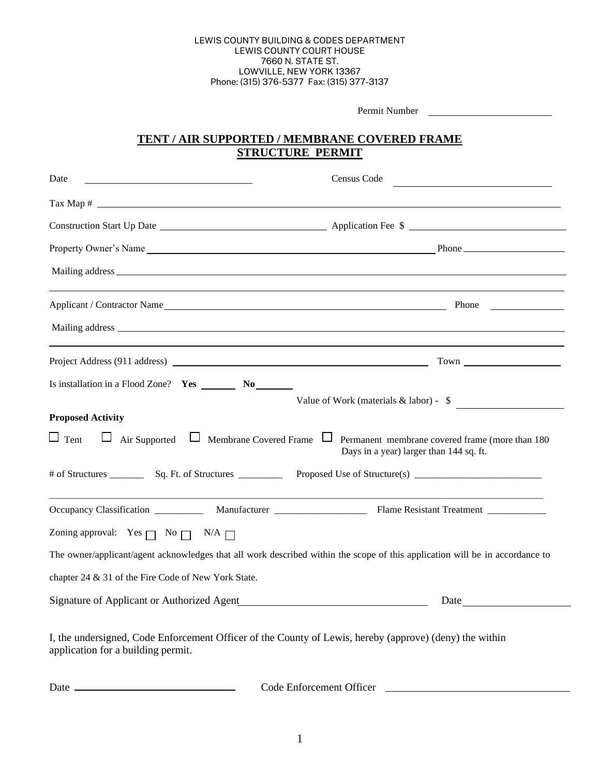#### LEWIS COUNTY BUILDING & CODES DEPARTMENT LEWIS COUNTY COURT HOUSE 7660 N. STATE ST. LOWVILLE, NEW YORK 13367 Phone: (315) 376-5377 Fax: (315) 377-3137

| Permit Number                                                                                                                                 |                                                                                            |  |
|-----------------------------------------------------------------------------------------------------------------------------------------------|--------------------------------------------------------------------------------------------|--|
| TENT / AIR SUPPORTED / MEMBRANE COVERED FRAME<br><b>STRUCTURE PERMIT</b>                                                                      |                                                                                            |  |
|                                                                                                                                               |                                                                                            |  |
|                                                                                                                                               |                                                                                            |  |
|                                                                                                                                               |                                                                                            |  |
|                                                                                                                                               |                                                                                            |  |
|                                                                                                                                               |                                                                                            |  |
|                                                                                                                                               |                                                                                            |  |
|                                                                                                                                               |                                                                                            |  |
|                                                                                                                                               |                                                                                            |  |
|                                                                                                                                               |                                                                                            |  |
|                                                                                                                                               | Value of Work (materials $&$ labor) - $\quad$                                              |  |
| <b>Proposed Activity</b>                                                                                                                      |                                                                                            |  |
| $\Box$ Tent<br>$\Box$ Air Supported $\Box$ Membrane Covered Frame $\Box$                                                                      | Permanent membrane covered frame (more than 180<br>Days in a year) larger than 144 sq. ft. |  |
|                                                                                                                                               |                                                                                            |  |
|                                                                                                                                               | the control of the control of the control of the control of the control of the control of  |  |
| Zoning approval: Yes $\Box$ No $\Box$ N/A $\Box$                                                                                              |                                                                                            |  |
| The owner/applicant/agent acknowledges that all work described within the scope of this application will be in accordance to                  |                                                                                            |  |
| chapter 24 & 31 of the Fire Code of New York State.                                                                                           |                                                                                            |  |
|                                                                                                                                               | Date                                                                                       |  |
| I, the undersigned, Code Enforcement Officer of the County of Lewis, hereby (approve) (deny) the within<br>application for a building permit. |                                                                                            |  |

Date Code Enforcement Officer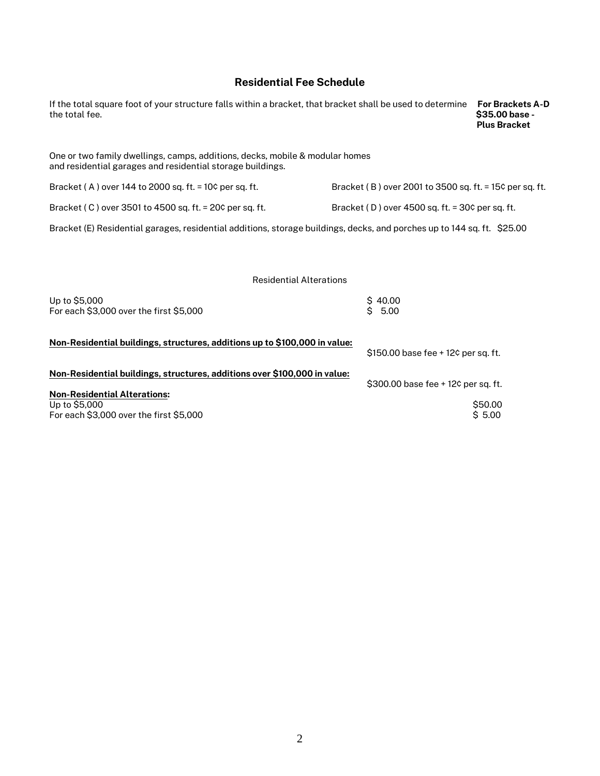### Residential Fee Schedule

| If the total square foot of your structure falls within a bracket, that bracket shall be used to determine<br>the total fee.               |                                                         | <b>For Brackets A-D</b><br>\$35.00 base -<br><b>Plus Bracket</b> |
|--------------------------------------------------------------------------------------------------------------------------------------------|---------------------------------------------------------|------------------------------------------------------------------|
| One or two family dwellings, camps, additions, decks, mobile & modular homes<br>and residential garages and residential storage buildings. |                                                         |                                                                  |
| Bracket (A) over 144 to 2000 sq. ft. = $10¢$ per sq. ft.                                                                                   | Bracket (B) over 2001 to 3500 sq. ft. = 15¢ per sq. ft. |                                                                  |
| Bracket (C) over 3501 to 4500 sq. ft. = 20¢ per sq. ft.                                                                                    | Bracket (D) over 4500 sq. ft. = 30¢ per sq. ft.         |                                                                  |
| Bracket (E) Residential garages, residential additions, storage buildings, decks, and porches up to 144 sq. ft. \$25.00                    |                                                         |                                                                  |
|                                                                                                                                            |                                                         |                                                                  |
| <b>Residential Alterations</b>                                                                                                             |                                                         |                                                                  |
| Up to \$5,000<br>For each \$3,000 over the first \$5,000                                                                                   | \$40.00<br>\$5.00                                       |                                                                  |
| Non-Residential buildings, structures, additions up to \$100,000 in value:                                                                 | \$150.00 base fee + 12¢ per sq. ft.                     |                                                                  |
| Non-Residential buildings, structures, additions over \$100,000 in value:<br><b>Non-Residential Alterations:</b>                           | \$300.00 base fee + 12¢ per sq. ft.                     |                                                                  |
| Up to \$5,000<br>For each \$3,000 over the first \$5,000                                                                                   |                                                         | \$50.00<br>\$5.00                                                |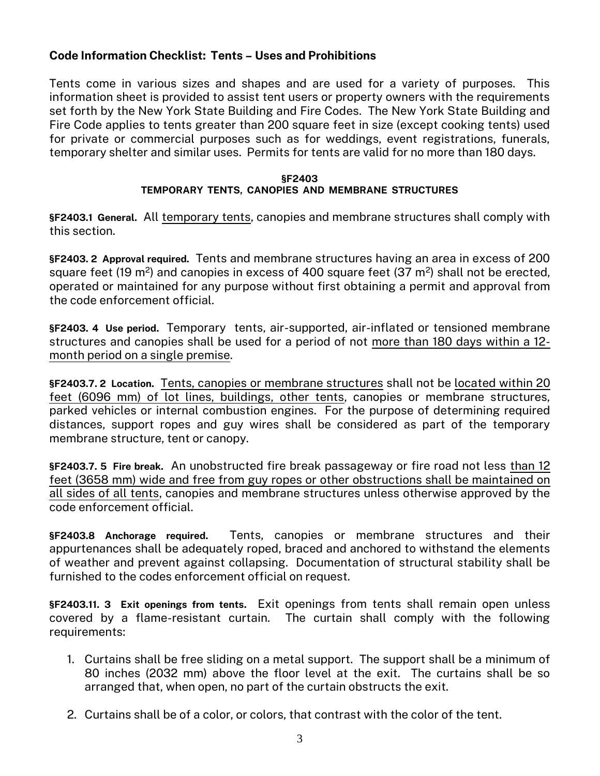# Code Information Checklist: Tents – Uses and Prohibitions

Tents come in various sizes and shapes and are used for a variety of purposes. This information sheet is provided to assist tent users or property owners with the requirements set forth by the New York State Building and Fire Codes. The New York State Building and Fire Code applies to tents greater than 200 square feet in size (except cooking tents) used for private or commercial purposes such as for weddings, event registrations, funerals, temporary shelter and similar uses. Permits for tents are valid for no more than 180 days.

#### §F2403 TEMPORARY TENTS, CANOPIES AND MEMBRANE STRUCTURES

§F2403.1 General. All temporary tents, canopies and membrane structures shall comply with this section.

§F2403. 2 Approval required. Tents and membrane structures having an area in excess of 200 square feet (19 m<sup>2</sup>) and canopies in excess of 400 square feet (37 m<sup>2</sup>) shall not be erected, operated or maintained for any purpose without first obtaining a permit and approval from the code enforcement official.

§F2403. 4 Use period. Temporary tents, air-supported, air-inflated or tensioned membrane structures and canopies shall be used for a period of not more than 180 days within a 12 month period on a single premise.

§F2403.7. 2 Location. Tents, canopies or membrane structures shall not be located within 20 feet (6096 mm) of lot lines, buildings, other tents, canopies or membrane structures, parked vehicles or internal combustion engines. For the purpose of determining required distances, support ropes and guy wires shall be considered as part of the temporary membrane structure, tent or canopy.

§F2403.7. 5 Fire break. An unobstructed fire break passageway or fire road not less than 12 feet (3658 mm) wide and free from guy ropes or other obstructions shall be maintained on all sides of all tents, canopies and membrane structures unless otherwise approved by the code enforcement official.

§F2403.8 Anchorage required. Tents, canopies or membrane structures and their appurtenances shall be adequately roped, braced and anchored to withstand the elements of weather and prevent against collapsing. Documentation of structural stability shall be furnished to the codes enforcement official on request.

§F2403.11. 3 Exit openings from tents. Exit openings from tents shall remain open unless covered by a flame-resistant curtain. The curtain shall comply with the following requirements:

- 1. Curtains shall be free sliding on a metal support. The support shall be a minimum of 80 inches (2032 mm) above the floor level at the exit. The curtains shall be so arranged that, when open, no part of the curtain obstructs the exit.
- 2. Curtains shall be of a color, or colors, that contrast with the color of the tent.